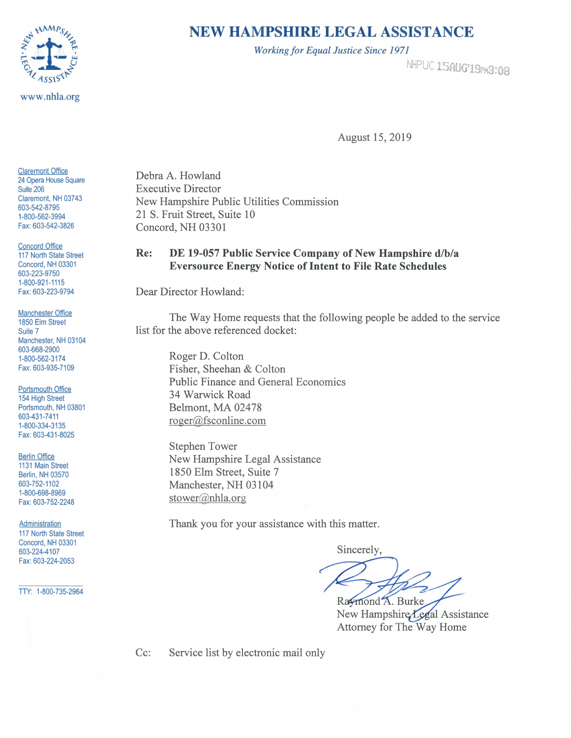

## **NEW HAMPSHIRE LEGAL ASSISTANCE**

*Working for Equal Justice Since 1971* 

r'JWC•i ir· 11::· ~, • ~·~ '" u *'..J* **,\_. jl:Ji; u** '!! •• **r Q<sup>0</sup> u1J 1** ,,"'- .-. "' **fH.1,,...,** *.£.-.Ji* **i°'iV•\Jtl** 

August 15, 2019

Claremont Office 24 Opera House Square Suite 206 Claremont, NH 03743 603-542-8795 1-800-562-3994 Fax: 603-542-3826

Concord Office 117 North State Street Concord, NH 03301 603-223-9750 1-800-921-1115 Fax: 603-223-9794

Manchester Office 1850 Elm Street Suite 7 Manchester, NH 03104 603-668-2900 1-800-562-3174 Fax: 603-935-7109

Portsmouth Office 154 High Street Portsmouth, NH 03801 603-431-7411 1-800-334-3135 Fax: 603-431-8025

**Berlin Office** 1131 Main Street Berlin, NH 03570 603-752-1102 1-800-698-8969 Fax: 603-752-2248

**Administration** 117 North State Street Concord, NH 03301 603-224-4107 Fax: 603-224-2053

TTY: 1-800-735-2964

Debra A. Howland Executive Director New Hampshire Public Utilities Commission 21 S. Fruit Street, Suite 10 Concord, NH 03301

## **Re: DE 19-057 Public Service Company of New Hampshire d/b/a Eversource Energy Notice of Intent to File Rate Schedules**

Dear Director Howland:

The Way Home requests that the following people be added to the service list for the above referenced docket:

Roger D. Colton Fisher, Sheehan & Colton Public Finance and General Economics 34 Warwick Road Belmont, MA 02478 roger@fsconline.com

Stephen Tower New Hampshire Legal Assistance 1850 Elm Street, Suite 7 Manchester, NH 03104 stower@nhla.org

Thank you for your assistance with this matter.

Sincerely,

Raymond A. Burke

New Hampshire Legal Assistance Attorney for The Way Home

Cc: Service list by electronic mail only